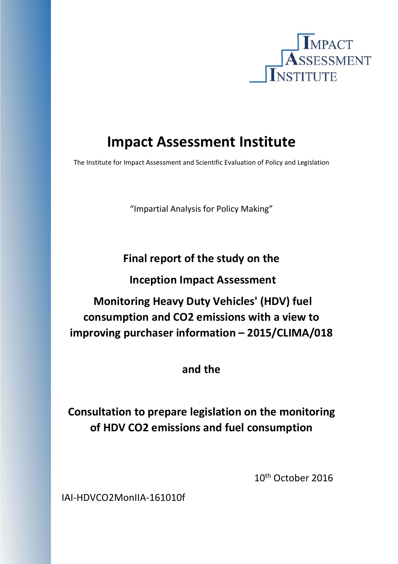

# **Impact Assessment Institute**

The Institute for Impact Assessment and Scientific Evaluation of Policy and Legislation

"Impartial Analysis for Policy Making"

# **Final report of the study on the**

# **Inception Impact Assessment**

# **Monitoring Heavy Duty Vehicles' (HDV) fuel consumption and CO2 emissions with a view to improving purchaser information – 2015/CLIMA/018**

# **and the**

# **Consultation to prepare legislation on the monitoring of HDV CO2 emissions and fuel consumption**

 10th October 2016

IAI‐HDVCO2MonIIA‐161010f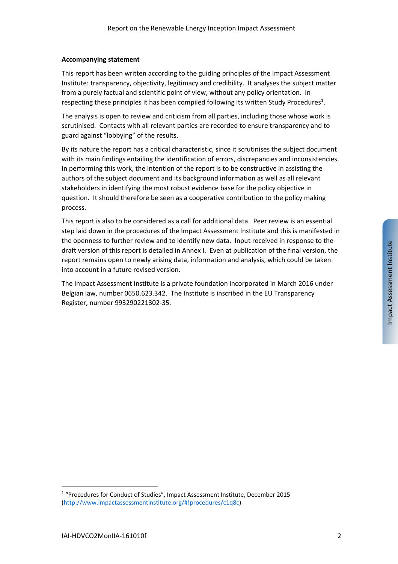#### **Accompanying statement**

This report has been written according to the guiding principles of the Impact Assessment Institute: transparency, objectivity, legitimacy and credibility. It analyses the subject matter from a purely factual and scientific point of view, without any policy orientation. In respecting these principles it has been compiled following its written Study Procedures<sup>1</sup>.

The analysis is open to review and criticism from all parties, including those whose work is scrutinised. Contacts with all relevant parties are recorded to ensure transparency and to guard against "lobbying" of the results.

By its nature the report has a critical characteristic, since it scrutinises the subject document with its main findings entailing the identification of errors, discrepancies and inconsistencies. In performing this work, the intention of the report is to be constructive in assisting the authors of the subject document and its background information as well as all relevant stakeholders in identifying the most robust evidence base for the policy objective in question. It should therefore be seen as a cooperative contribution to the policy making process.

This report is also to be considered as a call for additional data. Peer review is an essential step laid down in the procedures of the Impact Assessment Institute and this is manifested in the openness to further review and to identify new data. Input received in response to the draft version of this report is detailed in Annex I. Even at publication of the final version, the report remains open to newly arising data, information and analysis, which could be taken into account in a future revised version.

The Impact Assessment Institute is a private foundation incorporated in March 2016 under Belgian law, number 0650.623.342. The Institute is inscribed in the EU Transparency Register, number 993290221302‐35.

<sup>&</sup>lt;sup>1</sup> "Procedures for Conduct of Studies", Impact Assessment Institute, December 2015 (http://www.impactassessmentinstitute.org/#!procedures/c1q8c)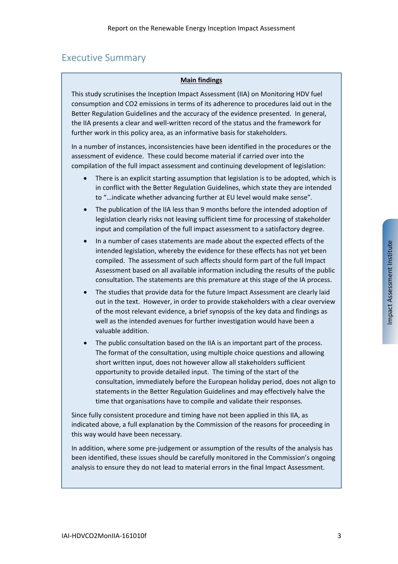# Executive Summary

#### **Main findings**

This study scrutinises the Inception Impact Assessment (IIA) on Monitoring HDV fuel consumption and CO2 emissions in terms of its adherence to procedures laid out in the Better Regulation Guidelines and the accuracy of the evidence presented. In general, the IIA presents a clear and well‐written record of the status and the framework for further work in this policy area, as an informative basis for stakeholders.

In a number of instances, inconsistencies have been identified in the procedures or the assessment of evidence. These could become material if carried over into the compilation of the full impact assessment and continuing development of legislation:

- There is an explicit starting assumption that legislation is to be adopted, which is in conflict with the Better Regulation Guidelines, which state they are intended to "…indicate whether advancing further at EU level would make sense".
- The publication of the IIA less than 9 months before the intended adoption of legislation clearly risks not leaving sufficient time for processing of stakeholder input and compilation of the full impact assessment to a satisfactory degree.
- In a number of cases statements are made about the expected effects of the intended legislation, whereby the evidence for these effects has not yet been compiled. The assessment of such affects should form part of the full Impact Assessment based on all available information including the results of the public consultation. The statements are this premature at this stage of the IA process.
- The studies that provide data for the future Impact Assessment are clearly laid out in the text. However, in order to provide stakeholders with a clear overview of the most relevant evidence, a brief synopsis of the key data and findings as well as the intended avenues for further investigation would have been a valuable addition.
- The public consultation based on the IIA is an important part of the process. The format of the consultation, using multiple choice questions and allowing short written input, does not however allow all stakeholders sufficient opportunity to provide detailed input. The timing of the start of the consultation, immediately before the European holiday period, does not align to statements in the Better Regulation Guidelines and may effectively halve the time that organisations have to compile and validate their responses.

Since fully consistent procedure and timing have not been applied in this IIA, as indicated above, a full explanation by the Commission of the reasons for proceeding in this way would have been necessary.

In addition, where some pre‐judgement or assumption of the results of the analysis has been identified, these issues should be carefully monitored in the Commission's ongoing analysis to ensure they do not lead to material errors in the final Impact Assessment.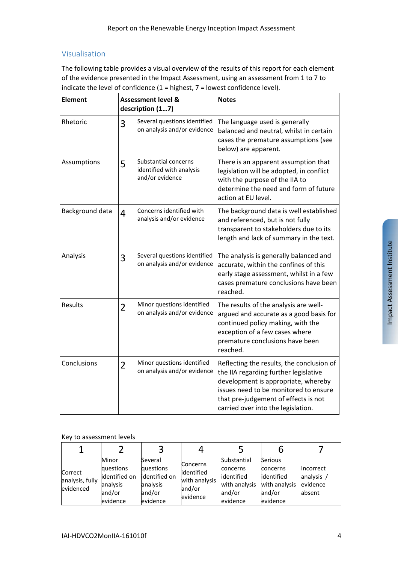## Visualisation

The following table provides a visual overview of the results of this report for each element of the evidence presented in the Impact Assessment, using an assessment from 1 to 7 to indicate the level of confidence  $(1 =$  highest,  $7 =$  lowest confidence level).

| <b>Element</b>  | <b>Assessment level &amp;</b><br>description (17) |                                                                     | <b>Notes</b>                                                                                                                                                                                                                                     |  |
|-----------------|---------------------------------------------------|---------------------------------------------------------------------|--------------------------------------------------------------------------------------------------------------------------------------------------------------------------------------------------------------------------------------------------|--|
| Rhetoric        | 3                                                 | Several questions identified<br>on analysis and/or evidence         | The language used is generally<br>balanced and neutral, whilst in certain<br>cases the premature assumptions (see<br>below) are apparent.                                                                                                        |  |
| Assumptions     | 5                                                 | Substantial concerns<br>identified with analysis<br>and/or evidence | There is an apparent assumption that<br>legislation will be adopted, in conflict<br>with the purpose of the IIA to<br>determine the need and form of future<br>action at EU level.                                                               |  |
| Background data | 4                                                 | Concerns identified with<br>analysis and/or evidence                | The background data is well established<br>and referenced, but is not fully<br>transparent to stakeholders due to its<br>length and lack of summary in the text.                                                                                 |  |
| Analysis        | 3                                                 | Several questions identified<br>on analysis and/or evidence         | The analysis is generally balanced and<br>accurate, within the confines of this<br>early stage assessment, whilst in a few<br>cases premature conclusions have been<br>reached.                                                                  |  |
| Results         | $\overline{2}$                                    | Minor questions identified<br>on analysis and/or evidence           | The results of the analysis are well-<br>argued and accurate as a good basis for<br>continued policy making, with the<br>exception of a few cases where<br>premature conclusions have been<br>reached.                                           |  |
| Conclusions     | $\overline{2}$                                    | Minor questions identified<br>on analysis and/or evidence           | Reflecting the results, the conclusion of<br>the IIA regarding further legislative<br>development is appropriate, whereby<br>issues need to be monitored to ensure<br>that pre-judgement of effects is not<br>carried over into the legislation. |  |

#### Key to assessment levels

| Correct<br>analysis, fully<br>evidenced | Minor<br>questions<br>identified on<br>analysis<br>and/or<br>evidence | Several<br>questions<br>identified on<br>analysis<br>and/or<br>evidence | <b>Concerns</b><br>lidentified<br>with analysis<br>and/or<br>evidence | Substantial<br>concerns<br>lidentified<br>with analysis<br>and/or<br>evidence | Serious<br>concerns<br>lidentified<br>with analysis<br>and/or<br>evidence | Incorrect<br>analysis<br>evidence<br>absent |
|-----------------------------------------|-----------------------------------------------------------------------|-------------------------------------------------------------------------|-----------------------------------------------------------------------|-------------------------------------------------------------------------------|---------------------------------------------------------------------------|---------------------------------------------|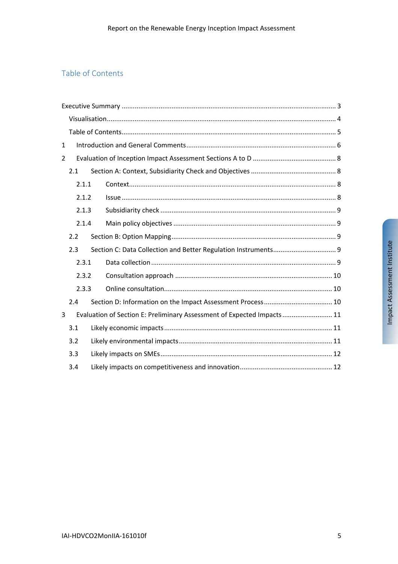## Table of Contents

| $\mathbf{1}$   |       |  |                                                                        |  |  |
|----------------|-------|--|------------------------------------------------------------------------|--|--|
| $\overline{2}$ |       |  |                                                                        |  |  |
|                | 2.1   |  |                                                                        |  |  |
|                | 2.1.1 |  |                                                                        |  |  |
|                | 2.1.2 |  |                                                                        |  |  |
|                | 2.1.3 |  |                                                                        |  |  |
|                | 2.1.4 |  |                                                                        |  |  |
|                | 2.2   |  |                                                                        |  |  |
|                | 2.3   |  |                                                                        |  |  |
|                | 2.3.1 |  |                                                                        |  |  |
|                | 2.3.2 |  |                                                                        |  |  |
|                | 2.3.3 |  |                                                                        |  |  |
|                | 2.4   |  |                                                                        |  |  |
| 3              |       |  | Evaluation of Section E: Preliminary Assessment of Expected Impacts 11 |  |  |
|                | 3.1   |  |                                                                        |  |  |
|                | 3.2   |  |                                                                        |  |  |
|                | 3.3   |  |                                                                        |  |  |
|                | 3.4   |  |                                                                        |  |  |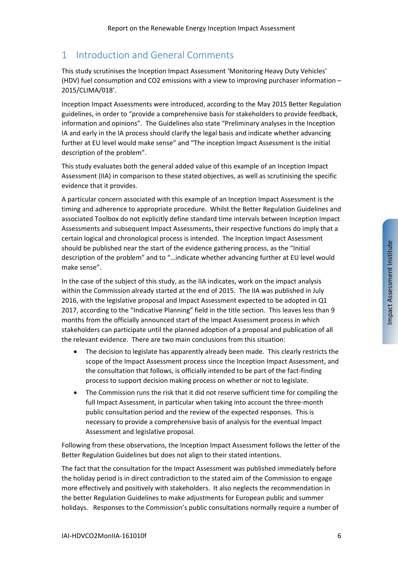# 1 Introduction and General Comments

This study scrutinises the Inception Impact Assessment 'Monitoring Heavy Duty Vehicles' (HDV) fuel consumption and CO2 emissions with a view to improving purchaser information – 2015/CLIMA/018'.

Inception Impact Assessments were introduced, according to the May 2015 Better Regulation guidelines, in order to "provide a comprehensive basis for stakeholders to provide feedback, information and opinions". The Guidelines also state "Preliminary analyses in the Inception IA and early in the IA process should clarify the legal basis and indicate whether advancing further at EU level would make sense" and "The inception Impact Assessment is the initial description of the problem".

This study evaluates both the general added value of this example of an Inception Impact Assessment (IIA) in comparison to these stated objectives, as well as scrutinising the specific evidence that it provides.

A particular concern associated with this example of an Inception Impact Assessment is the timing and adherence to appropriate procedure. Whilst the Better Regulation Guidelines and associated Toolbox do not explicitly define standard time intervals between Inception Impact Assessments and subsequent Impact Assessments, their respective functions do imply that a certain logical and chronological process is intended. The Inception Impact Assessment should be published near the start of the evidence gathering process, as the "Initial description of the problem" and to "…indicate whether advancing further at EU level would make sense".

In the case of the subject of this study, as the IIA indicates, work on the impact analysis within the Commission already started at the end of 2015. The IIA was published in July 2016, with the legislative proposal and Impact Assessment expected to be adopted in Q1 2017, according to the "Indicative Planning" field in the title section. This leaves less than 9 months from the officially announced start of the Impact Assessment process in which stakeholders can participate until the planned adoption of a proposal and publication of all the relevant evidence. There are two main conclusions from this situation:

- The decision to legislate has apparently already been made. This clearly restricts the scope of the Impact Assessment process since the Inception Impact Assessment, and the consultation that follows, is officially intended to be part of the fact‐finding process to support decision making process on whether or not to legislate.
- The Commission runs the risk that it did not reserve sufficient time for compiling the full Impact Assessment, in particular when taking into account the three‐month public consultation period and the review of the expected responses. This is necessary to provide a comprehensive basis of analysis for the eventual Impact Assessment and legislative proposal.

Following from these observations, the Inception Impact Assessment follows the letter of the Better Regulation Guidelines but does not align to their stated intentions.

The fact that the consultation for the Impact Assessment was published immediately before the holiday period is in direct contradiction to the stated aim of the Commission to engage more effectively and positively with stakeholders. It also neglects the recommendation in the better Regulation Guidelines to make adjustments for European public and summer holidays. Responses to the Commission's public consultations normally require a number of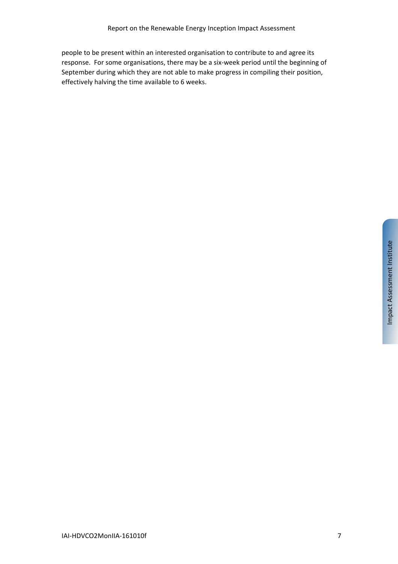people to be present within an interested organisation to contribute to and agree its response. For some organisations, there may be a six‐week period until the beginning of September during which they are not able to make progress in compiling their position, effectively halving the time available to 6 weeks.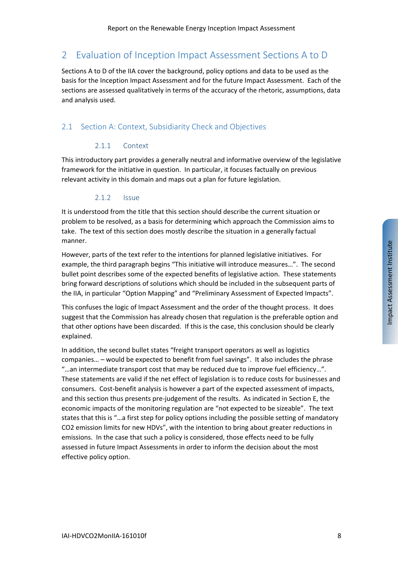# 2 Evaluation of Inception Impact Assessment Sections A to D

Sections A to D of the IIA cover the background, policy options and data to be used as the basis for the Inception Impact Assessment and for the future Impact Assessment. Each of the sections are assessed qualitatively in terms of the accuracy of the rhetoric, assumptions, data and analysis used.

### 2.1 Section A: Context, Subsidiarity Check and Objectives

#### 2.1.1 Context

This introductory part provides a generally neutral and informative overview of the legislative framework for the initiative in question. In particular, it focuses factually on previous relevant activity in this domain and maps out a plan for future legislation.

#### 2.1.2 Issue

It is understood from the title that this section should describe the current situation or problem to be resolved, as a basis for determining which approach the Commission aims to take. The text of this section does mostly describe the situation in a generally factual manner.

However, parts of the text refer to the intentions for planned legislative initiatives. For example, the third paragraph begins "This initiative will introduce measures…". The second bullet point describes some of the expected benefits of legislative action. These statements bring forward descriptions of solutions which should be included in the subsequent parts of the IIA, in particular "Option Mapping" and "Preliminary Assessment of Expected Impacts".

This confuses the logic of Impact Assessment and the order of the thought process. It does suggest that the Commission has already chosen that regulation is the preferable option and that other options have been discarded. If this is the case, this conclusion should be clearly explained.

In addition, the second bullet states "freight transport operators as well as logistics companies… – would be expected to benefit from fuel savings". It also includes the phrase "…an intermediate transport cost that may be reduced due to improve fuel efficiency…". These statements are valid if the net effect of legislation is to reduce costs for businesses and consumers. Cost‐benefit analysis is however a part of the expected assessment of impacts, and this section thus presents pre‐judgement of the results. As indicated in Section E, the economic impacts of the monitoring regulation are "not expected to be sizeable". The text states that this is "…a first step for policy options including the possible setting of mandatory CO2 emission limits for new HDVs", with the intention to bring about greater reductions in emissions. In the case that such a policy is considered, those effects need to be fully assessed in future Impact Assessments in order to inform the decision about the most effective policy option.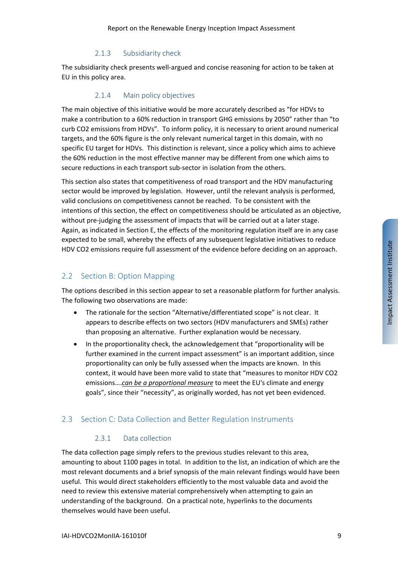#### 2.1.3 Subsidiarity check

The subsidiarity check presents well‐argued and concise reasoning for action to be taken at EU in this policy area.

#### 2.1.4 Main policy objectives

The main objective of this initiative would be more accurately described as "for HDVs to make a contribution to a 60% reduction in transport GHG emissions by 2050" rather than "to curb CO2 emissions from HDVs". To inform policy, it is necessary to orient around numerical targets, and the 60% figure is the only relevant numerical target in this domain, with no specific EU target for HDVs. This distinction is relevant, since a policy which aims to achieve the 60% reduction in the most effective manner may be different from one which aims to secure reductions in each transport sub-sector in isolation from the others.

This section also states that competitiveness of road transport and the HDV manufacturing sector would be improved by legislation. However, until the relevant analysis is performed, valid conclusions on competitiveness cannot be reached. To be consistent with the intentions of this section, the effect on competitiveness should be articulated as an objective, without pre-judging the assessment of impacts that will be carried out at a later stage. Again, as indicated in Section E, the effects of the monitoring regulation itself are in any case expected to be small, whereby the effects of any subsequent legislative initiatives to reduce HDV CO2 emissions require full assessment of the evidence before deciding on an approach.

### 2.2 Section B: Option Mapping

The options described in this section appear to set a reasonable platform for further analysis. The following two observations are made:

- The rationale for the section "Alternative/differentiated scope" is not clear. It appears to describe effects on two sectors (HDV manufacturers and SMEs) rather than proposing an alternative. Further explanation would be necessary.
- In the proportionality check, the acknowledgement that "proportionality will be further examined in the current impact assessment" is an important addition, since proportionality can only be fully assessed when the impacts are known. In this context, it would have been more valid to state that "measures to monitor HDV CO2 emissions….*can be a proportional measure* to meet the EU's climate and energy goals", since their "necessity", as originally worded, has not yet been evidenced.

## 2.3 Section C: Data Collection and Better Regulation Instruments

#### 2.3.1 Data collection

The data collection page simply refers to the previous studies relevant to this area, amounting to about 1100 pages in total. In addition to the list, an indication of which are the most relevant documents and a brief synopsis of the main relevant findings would have been useful. This would direct stakeholders efficiently to the most valuable data and avoid the need to review this extensive material comprehensively when attempting to gain an understanding of the background. On a practical note, hyperlinks to the documents themselves would have been useful.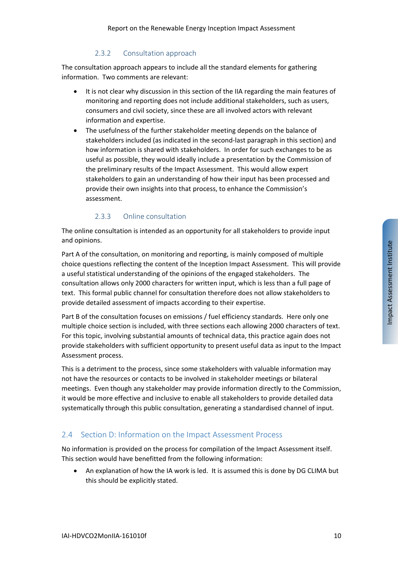#### 2.3.2 Consultation approach

The consultation approach appears to include all the standard elements for gathering information. Two comments are relevant:

- It is not clear why discussion in this section of the IIA regarding the main features of monitoring and reporting does not include additional stakeholders, such as users, consumers and civil society, since these are all involved actors with relevant information and expertise.
- The usefulness of the further stakeholder meeting depends on the balance of stakeholders included (as indicated in the second‐last paragraph in this section) and how information is shared with stakeholders. In order for such exchanges to be as useful as possible, they would ideally include a presentation by the Commission of the preliminary results of the Impact Assessment. This would allow expert stakeholders to gain an understanding of how their input has been processed and provide their own insights into that process, to enhance the Commission's assessment.

#### 2.3.3 Online consultation

The online consultation is intended as an opportunity for all stakeholders to provide input and opinions.

Part A of the consultation, on monitoring and reporting, is mainly composed of multiple choice questions reflecting the content of the Inception Impact Assessment. This will provide a useful statistical understanding of the opinions of the engaged stakeholders. The consultation allows only 2000 characters for written input, which is less than a full page of text. This formal public channel for consultation therefore does not allow stakeholders to provide detailed assessment of impacts according to their expertise.

Part B of the consultation focuses on emissions / fuel efficiency standards. Here only one multiple choice section is included, with three sections each allowing 2000 characters of text. For this topic, involving substantial amounts of technical data, this practice again does not provide stakeholders with sufficient opportunity to present useful data as input to the Impact Assessment process.

This is a detriment to the process, since some stakeholders with valuable information may not have the resources or contacts to be involved in stakeholder meetings or bilateral meetings. Even though any stakeholder may provide information directly to the Commission, it would be more effective and inclusive to enable all stakeholders to provide detailed data systematically through this public consultation, generating a standardised channel of input.

#### 2.4 Section D: Information on the Impact Assessment Process

No information is provided on the process for compilation of the Impact Assessment itself. This section would have benefitted from the following information:

 An explanation of how the IA work is led. It is assumed this is done by DG CLIMA but this should be explicitly stated.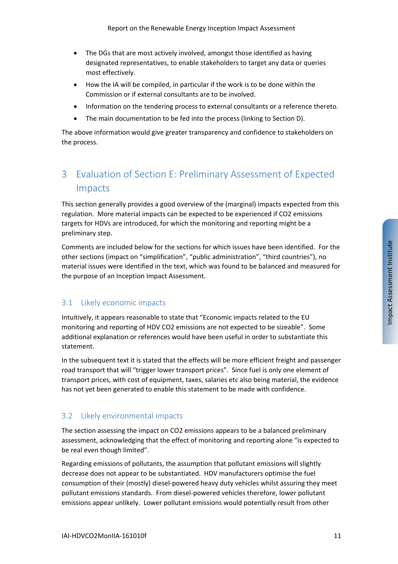- The DGs that are most actively involved, amongst those identified as having designated representatives, to enable stakeholders to target any data or queries most effectively.
- How the IA will be compiled, in particular if the work is to be done within the Commission or if external consultants are to be involved.
- Information on the tendering process to external consultants or a reference thereto.
- The main documentation to be fed into the process (linking to Section D).

The above information would give greater transparency and confidence to stakeholders on the process.

# 3 Evaluation of Section E: Preliminary Assessment of Expected Impacts

This section generally provides a good overview of the (marginal) impacts expected from this regulation. More material impacts can be expected to be experienced if CO2 emissions targets for HDVs are introduced, for which the monitoring and reporting might be a preliminary step.

Comments are included below for the sections for which issues have been identified. For the other sections (impact on "simplification", "public administration", "third countries"), no material issues were identified in the text, which was found to be balanced and measured for the purpose of an Inception Impact Assessment.

## 3.1 Likely economic impacts

Intuitively, it appears reasonable to state that "Economic impacts related to the EU monitoring and reporting of HDV CO2 emissions are not expected to be sizeable". Some additional explanation or references would have been useful in order to substantiate this statement.

In the subsequent text it is stated that the effects will be more efficient freight and passenger road transport that will "trigger lower transport prices". Since fuel is only one element of transport prices, with cost of equipment, taxes, salaries etc also being material, the evidence has not yet been generated to enable this statement to be made with confidence.

## 3.2 Likely environmental impacts

The section assessing the impact on CO2 emissions appears to be a balanced preliminary assessment, acknowledging that the effect of monitoring and reporting alone "is expected to be real even though limited".

Regarding emissions of pollutants, the assumption that pollutant emissions will slightly decrease does not appear to be substantiated. HDV manufacturers optimise the fuel consumption of their (mostly) diesel‐powered heavy duty vehicles whilst assuring they meet pollutant emissions standards. From diesel‐powered vehicles therefore, lower pollutant emissions appear unlikely. Lower pollutant emissions would potentially result from other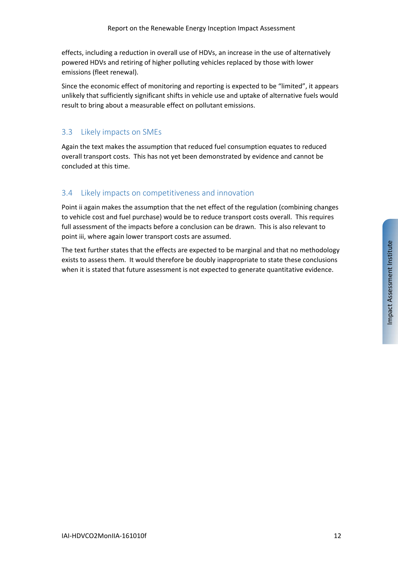effects, including a reduction in overall use of HDVs, an increase in the use of alternatively powered HDVs and retiring of higher polluting vehicles replaced by those with lower emissions (fleet renewal).

Since the economic effect of monitoring and reporting is expected to be "limited", it appears unlikely that sufficiently significant shifts in vehicle use and uptake of alternative fuels would result to bring about a measurable effect on pollutant emissions.

## 3.3 Likely impacts on SMEs

Again the text makes the assumption that reduced fuel consumption equates to reduced overall transport costs. This has not yet been demonstrated by evidence and cannot be concluded at this time.

## 3.4 Likely impacts on competitiveness and innovation

Point ii again makes the assumption that the net effect of the regulation (combining changes to vehicle cost and fuel purchase) would be to reduce transport costs overall. This requires full assessment of the impacts before a conclusion can be drawn. This is also relevant to point iii, where again lower transport costs are assumed.

The text further states that the effects are expected to be marginal and that no methodology exists to assess them. It would therefore be doubly inappropriate to state these conclusions when it is stated that future assessment is not expected to generate quantitative evidence.